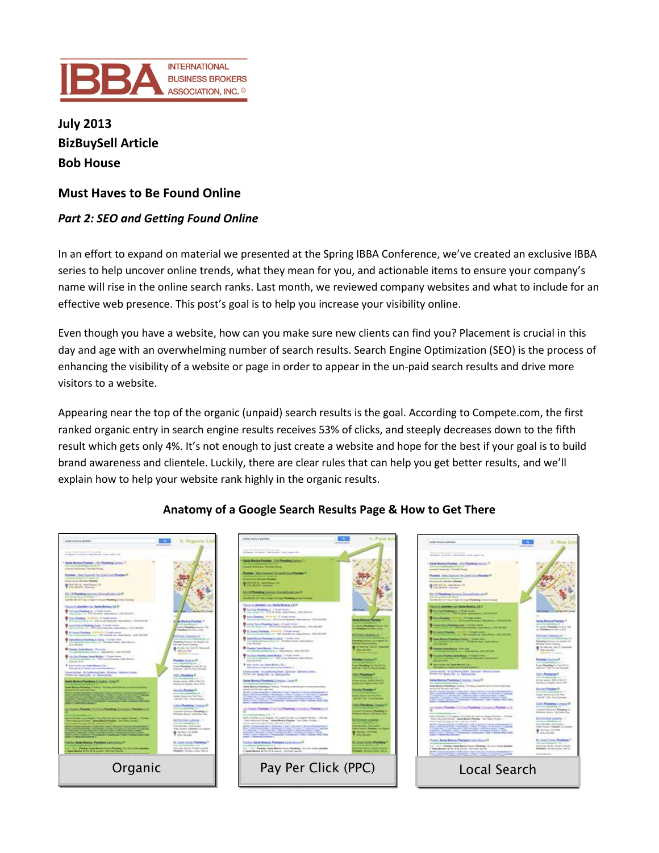

**July 2013 BizBuySell Article Bob House**

# **Must Haves to Be Found Online**

# *Part 2: SEO and Getting Found Online*

In an effort to expand on material we presented at the Spring IBBA Conference, we've created an exclusive IBBA series to help uncover online trends, what they mean for you, and actionable items to ensure your company's name will rise in the online search ranks. Last month, we reviewed company websites and what to include for an effective web presence. This post's goal is to help you increase your visibility online.

Even though you have a website, how can you make sure new clients can find you? Placement is crucial in this day and age with an overwhelming number of search results. Search Engine Optimization (SEO) is the process of enhancing the visibility of a website or page in order to appear in the un-paid search results and drive more visitors to a website.

Appearing near the top of the organic (unpaid) search results is the goal. According to Compete.com, the first ranked organic entry in search engine results receives 53% of clicks, and steeply decreases down to the fifth result which gets only 4%. It's not enough to just create a website and hope for the best if your goal is to build brand awareness and clientele. Luckily, there are clear rules that can help you get better results, and we'll explain how to help your website rank highly in the organic results.



# **Anatomy of a Google Search Results Page & How to Get There**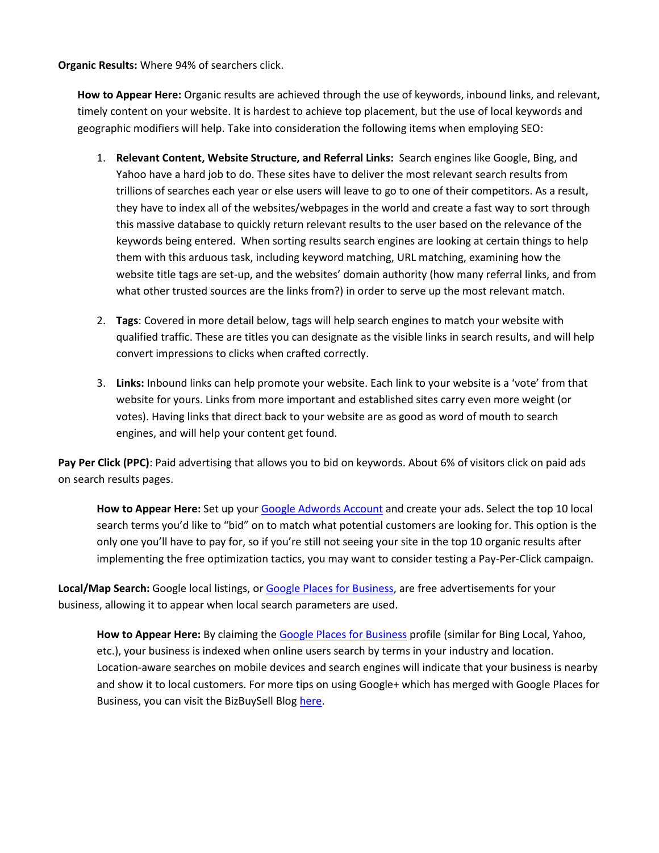**Organic Results:** Where 94% of searchers click.

**How to Appear Here:** Organic results are achieved through the use of keywords, inbound links, and relevant, timely content on your website. It is hardest to achieve top placement, but the use of local keywords and geographic modifiers will help. Take into consideration the following items when employing SEO:

- 1. **Relevant Content, Website Structure, and Referral Links:** Search engines like Google, Bing, and Yahoo have a hard job to do. These sites have to deliver the most relevant search results from trillions of searches each year or else users will leave to go to one of their competitors. As a result, they have to index all of the websites/webpages in the world and create a fast way to sort through this massive database to quickly return relevant results to the user based on the relevance of the keywords being entered. When sorting results search engines are looking at certain things to help them with this arduous task, including keyword matching, URL matching, examining how the website title tags are set-up, and the websites' domain authority (how many referral links, and from what other trusted sources are the links from?) in order to serve up the most relevant match.
- 2. **Tags**: Covered in more detail below, tags will help search engines to match your website with qualified traffic. These are titles you can designate as the visible links in search results, and will help convert impressions to clicks when crafted correctly.
- 3. **Links:** Inbound links can help promote your website. Each link to your website is a 'vote' from that website for yours. Links from more important and established sites carry even more weight (or votes). Having links that direct back to your website are as good as word of mouth to search engines, and will help your content get found.

**Pay Per Click (PPC)**: Paid advertising that allows you to bid on keywords. About 6% of visitors click on paid ads on search results pages.

**How to Appear Here:** Set up you[r Google Adwords Account](https://accounts.google.com/ServiceLogin?service=adwords&hl=en-US<mpl=signup&passive=false&ifr=false&alwf=true&continue=https://adwords.google.com/um/SignupToken&app=Signup&sacu=1&sourceid=awo&subid=us-en-et-nelson_adshp_bt) and create your ads. Select the top 10 local search terms you'd like to "bid" on to match what potential customers are looking for. This option is the only one you'll have to pay for, so if you're still not seeing your site in the top 10 organic results after implementing the free optimization tactics, you may want to consider testing a Pay-Per-Click campaign.

**Local/Map Search:** Google local listings, or [Google Places for Business,](https://www.google.com/business/placesforbusiness/) are free advertisements for your business, allowing it to appear when local search parameters are used.

**How to Appear Here:** By claiming th[e Google Places for Business](http://www.google.com/business/placesforbusiness/) profile (similar for Bing Local, Yahoo, etc.), your business is indexed when online users search by terms in your industry and location. Location-aware searches on mobile devices and search engines will indicate that your business is nearby and show it to local customers. For more tips on using Google+ which has merged with Google Places for Business, you can visit the BizBuySell Blog [here.](http://blog.bizbuysell.com/2013/04/23/google-for-franchises/)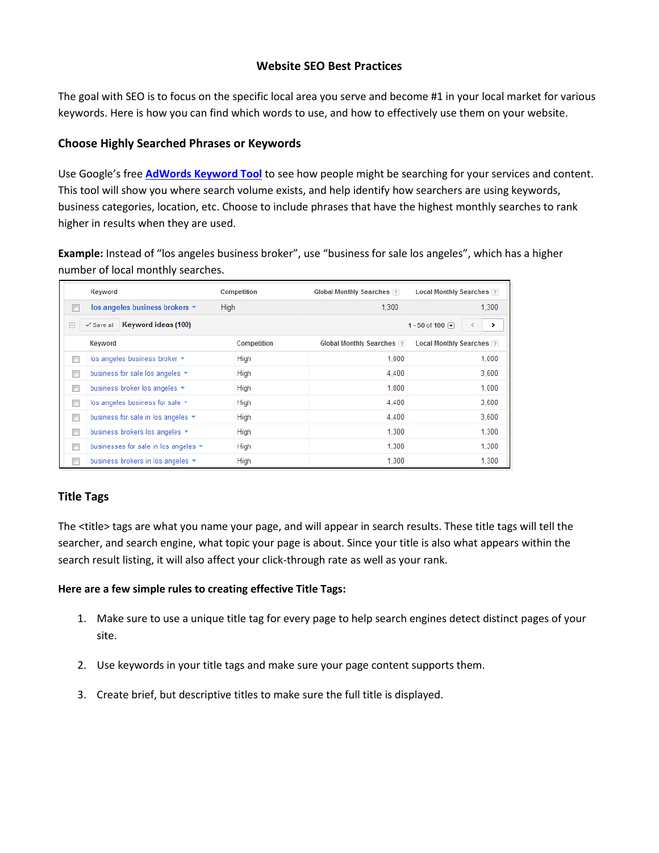## **Website SEO Best Practices**

The goal with SEO is to focus on the specific local area you serve and become #1 in your local market for various keywords. Here is how you can find which words to use, and how to effectively use them on your website.

## **Choose Highly Searched Phrases or Keywords**

Use Google's free **[AdWords Keyword Tool](https://adwords.google.com/o/Targeting/Explorer?__c=1000000000&__u=1000000000&ideaRequestType=KEYWORD_IDEAS)** to see how people might be searching for your services and content. This tool will show you where search volume exists, and help identify how searchers are using keywords, business categories, location, etc. Choose to include phrases that have the highest monthly searches to rank higher in results when they are used.

**Example:** Instead of "los angeles business broker", use "business for sale los angeles", which has a higher number of local monthly searches.

|                                                                                          | Keyword                                    | Competition        | <b>Global Monthly Searches ?</b> | <b>Local Monthly Searches ?</b> |
|------------------------------------------------------------------------------------------|--------------------------------------------|--------------------|----------------------------------|---------------------------------|
| $\Box$                                                                                   | los angeles business brokers v             | High               | 1.300                            | 1,300                           |
| Keyword ideas (100)<br>$\checkmark$ Save all<br>1 - 50 of 100 $\boxed{+}$<br>$\Box$<br>> |                                            |                    |                                  |                                 |
|                                                                                          | Keyword                                    | <b>Competition</b> | <b>Global Monthly Searches ?</b> | Local Monthly Searches 7        |
| $\overline{\Box}$                                                                        | los angeles business broker ▼              | High               | 1,000                            | 1,000                           |
| $\Box$                                                                                   | business for sale los angeles $\star$      | High               | 4.400                            | 3.600                           |
| $\Box$                                                                                   | business broker los angeles v              | <b>High</b>        | 1.000                            | 1.000                           |
| Г                                                                                        | los angeles business for sale ▼            | High               | 4.400                            | 3.600                           |
| $\overline{\phantom{a}}$                                                                 | business for sale in los angeles ▼         | High               | 4.400                            | 3,600                           |
| $\Box$                                                                                   | business brokers los angeles v             | High               | 1.300                            | 1,300                           |
| $\overline{\phantom{a}}$                                                                 | businesses for sale in los angeles $\star$ | High               | 1.300                            | 1.300                           |
|                                                                                          | business brokers in los angeles $\star$    | High               | 1,300                            | 1,300                           |

# **Title Tags**

The <title> tags are what you name your page, and will appear in search results. These title tags will tell the searcher, and search engine, what topic your page is about. Since your title is also what appears within the search result listing, it will also affect your click-through rate as well as your rank.

#### **Here are a few simple rules to creating effective Title Tags:**

- 1. Make sure to use a unique title tag for every page to help search engines detect distinct pages of your site.
- 2. Use keywords in your title tags and make sure your page content supports them.
- 3. Create brief, but descriptive titles to make sure the full title is displayed.